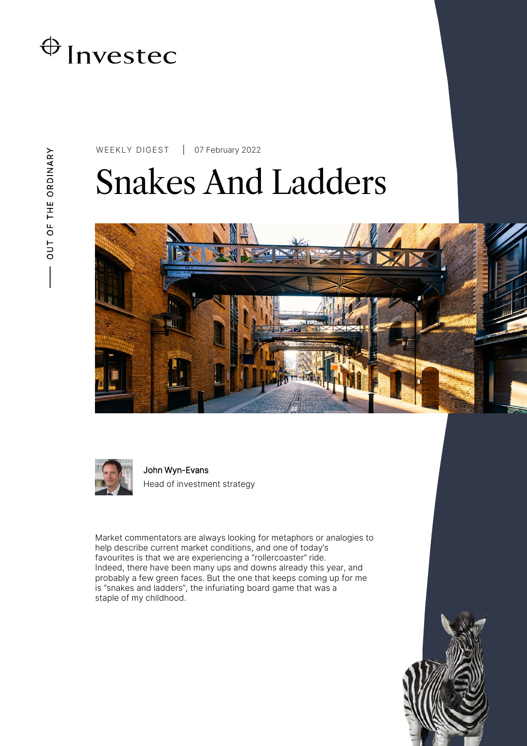

WEEKLY DIGEST 07 February 2022

# Snakes And Ladders





John Wyn-Evans Head of investment strategy

Market commentators are always looking for metaphors or analogies to help describe current market conditions, and one of today's favourites is that we are experiencing a "rollercoaster" ride. Indeed, there have been many ups and downs already this year, and probably a few green faces. But the one that keeps coming up for me is "snakes and ladders", the infuriating board game that was a staple of my childhood.

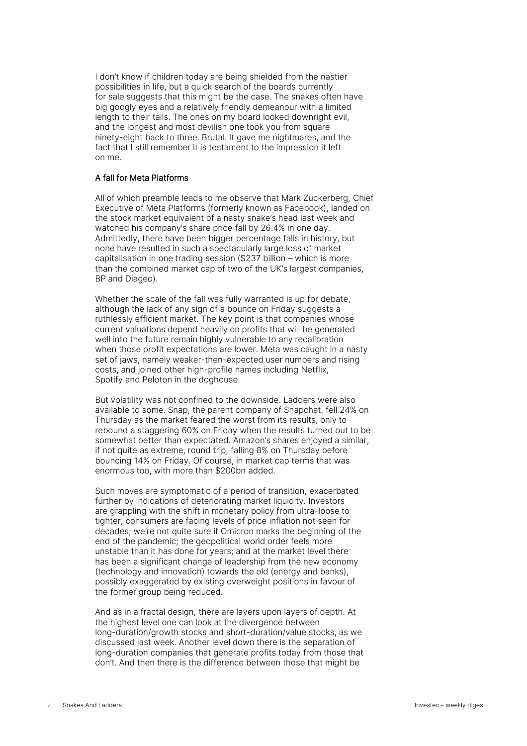I don't know if children today are being shielded from the nastier possibilities in life, but a quick search of the boards currently for sale suggests that this might be the case. The snakes often have big googly eyes and a relatively friendly demeanour with a limited length to their tails. The ones on my board looked downright evil, and the longest and most devilish one took you from square ninety-eight back to three. Brutal. It gave me nightmares, and the fact that I still remember it is testament to the impression it left on me.

#### A fall for Meta Platforms

All of which preamble leads to me observe that Mark Zuckerberg, Chief Executive of Meta Platforms (formerly known as Facebook), landed on the stock market equivalent of a nasty snake's head last week and watched his company's share price fall by 26.4% in one day. Admittedly, there have been bigger percentage falls in history, but none have resulted in such a spectacularly large loss of market capitalisation in one trading session (\$237 billion – which is more than the combined market cap of two of the UK's largest companies, BP and Diageo).

Whether the scale of the fall was fully warranted is up for debate, although the lack of any sign of a bounce on Friday suggests a ruthlessly efficient market. The key point is that companies whose current valuations depend heavily on profits that will be generated well into the future remain highly vulnerable to any recalibration when those profit expectations are lower. Meta was caught in a nasty set of jaws, namely weaker-then-expected user numbers and rising costs, and joined other high-profile names including Netflix, Spotify and Peloton in the doghouse.

But volatility was not confined to the downside. Ladders were also available to some. Snap, the parent company of Snapchat, fell 24% on Thursday as the market feared the worst from its results, only to rebound a staggering 60% on Friday when the results turned out to be somewhat better than expectated. Amazon's shares enjoyed a similar, if not quite as extreme, round trip, falling 8% on Thursday before bouncing 14% on Friday. Of course, in market cap terms that was enormous too, with more than \$200bn added.

Such moves are symptomatic of a period of transition, exacerbated further by indications of deteriorating market liquidity. Investors are grappling with the shift in monetary policy from ultra-loose to tighter; consumers are facing levels of price inflation not seen for decades; we're not quite sure if Omicron marks the beginning of the end of the pandemic; the geopolitical world order feels more unstable than it has done for years; and at the market level there has been a significant change of leadership from the new economy (technology and innovation) towards the old (energy and banks), possibly exaggerated by existing overweight positions in favour of the former group being reduced.

And as in a fractal design, there are layers upon layers of depth. At the highest level one can look at the divergence between long-duration/growth stocks and short-duration/value stocks, as we discussed last week. Another level down there is the separation of long-duration companies that generate profits today from those that don't. And then there is the difference between those that might be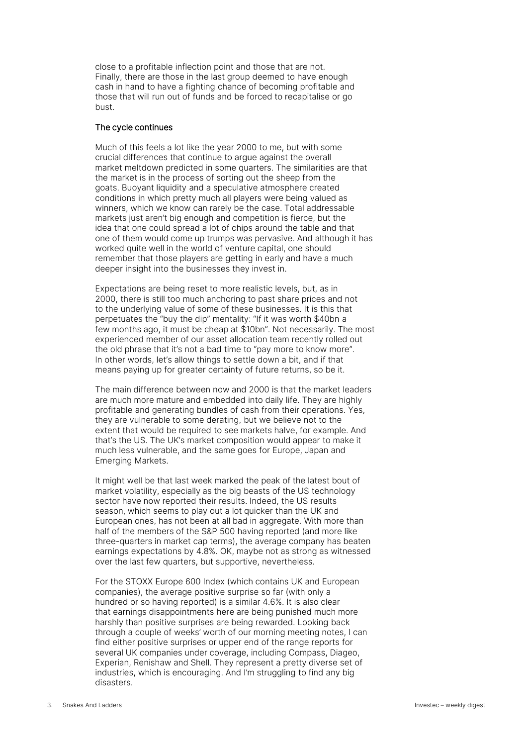close to a profitable inflection point and those that are not. Finally, there are those in the last group deemed to have enough cash in hand to have a fighting chance of becoming profitable and those that will run out of funds and be forced to recapitalise or go bust.

#### The cycle continues

Much of this feels a lot like the year 2000 to me, but with some crucial differences that continue to argue against the overall market meltdown predicted in some quarters. The similarities are that the market is in the process of sorting out the sheep from the goats. Buoyant liquidity and a speculative atmosphere created conditions in which pretty much all players were being valued as winners, which we know can rarely be the case. Total addressable markets just aren't big enough and competition is fierce, but the idea that one could spread a lot of chips around the table and that one of them would come up trumps was pervasive. And although it has worked quite well in the world of venture capital, one should remember that those players are getting in early and have a much deeper insight into the businesses they invest in.

Expectations are being reset to more realistic levels, but, as in 2000, there is still too much anchoring to past share prices and not to the underlying value of some of these businesses. It is this that perpetuates the "buy the dip" mentality: "If it was worth \$40bn a few months ago, it must be cheap at \$10bn". Not necessarily. The most experienced member of our asset allocation team recently rolled out the old phrase that it's not a bad time to "pay more to know more". In other words, let's allow things to settle down a bit, and if that means paying up for greater certainty of future returns, so be it.

The main difference between now and 2000 is that the market leaders are much more mature and embedded into daily life. They are highly profitable and generating bundles of cash from their operations. Yes, they are vulnerable to some derating, but we believe not to the extent that would be required to see markets halve, for example. And that's the US. The UK's market composition would appear to make it much less vulnerable, and the same goes for Europe, Japan and Emerging Markets.

It might well be that last week marked the peak of the latest bout of market volatility, especially as the big beasts of the US technology sector have now reported their results. Indeed, the US results season, which seems to play out a lot quicker than the UK and European ones, has not been at all bad in aggregate. With more than half of the members of the S&P 500 having reported (and more like three-quarters in market cap terms), the average company has beaten earnings expectations by 4.8%. OK, maybe not as strong as witnessed over the last few quarters, but supportive, nevertheless.

For the STOXX Europe 600 Index (which contains UK and European companies), the average positive surprise so far (with only a hundred or so having reported) is a similar 4.6%. It is also clear that earnings disappointments here are being punished much more harshly than positive surprises are being rewarded. Looking back through a couple of weeks' worth of our morning meeting notes, I can find either positive surprises or upper end of the range reports for several UK companies under coverage, including Compass, Diageo, Experian, Renishaw and Shell. They represent a pretty diverse set of industries, which is encouraging. And I'm struggling to find any big disasters.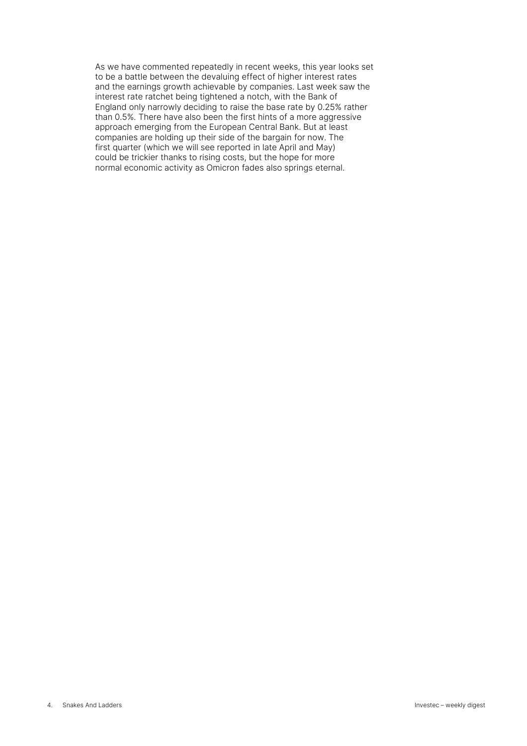As we have commented repeatedly in recent weeks, this year looks set to be a battle between the devaluing effect of higher interest rates and the earnings growth achievable by companies. Last week saw the interest rate ratchet being tightened a notch, with the Bank of England only narrowly deciding to raise the base rate by 0.25% rather than 0.5%. There have also been the first hints of a more aggressive approach emerging from the European Central Bank. But at least companies are holding up their side of the bargain for now. The first quarter (which we will see reported in late April and May) could be trickier thanks to rising costs, but the hope for more normal economic activity as Omicron fades also springs eternal.